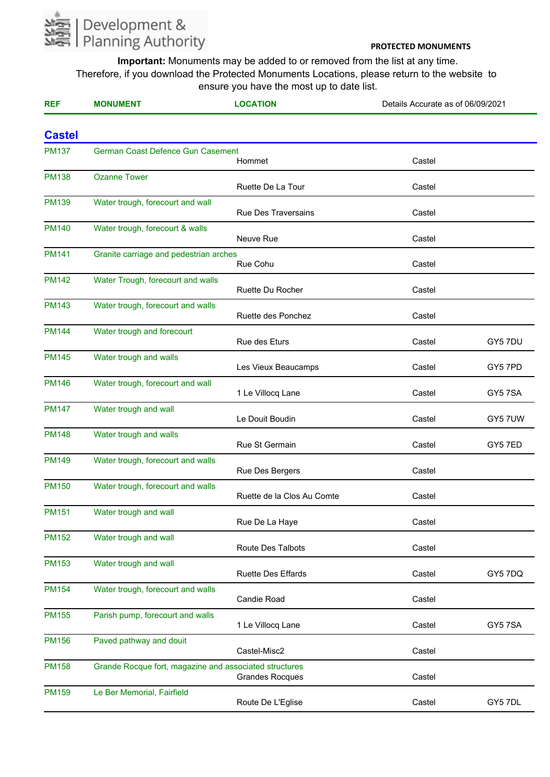

| <b>REF</b>    | <b>MONUMENT</b>                                        | <b>LOCATION</b>            | Details Accurate as of 06/09/2021 |         |
|---------------|--------------------------------------------------------|----------------------------|-----------------------------------|---------|
| <b>Castel</b> |                                                        |                            |                                   |         |
| <b>PM137</b>  | German Coast Defence Gun Casement                      | Hommet                     | Castel                            |         |
| <b>PM138</b>  | <b>Ozanne Tower</b>                                    | Ruette De La Tour          | Castel                            |         |
| <b>PM139</b>  | Water trough, forecourt and wall                       | <b>Rue Des Traversains</b> | Castel                            |         |
| <b>PM140</b>  | Water trough, forecourt & walls                        | Neuve Rue                  | Castel                            |         |
| <b>PM141</b>  | Granite carriage and pedestrian arches                 | Rue Cohu                   | Castel                            |         |
| <b>PM142</b>  | Water Trough, forecourt and walls                      | Ruette Du Rocher           | Castel                            |         |
| <b>PM143</b>  | Water trough, forecourt and walls                      | Ruette des Ponchez         | Castel                            |         |
| <b>PM144</b>  | Water trough and forecourt                             | Rue des Eturs              | Castel                            | GY5 7DU |
| <b>PM145</b>  | Water trough and walls                                 | Les Vieux Beaucamps        | Castel                            | GY5 7PD |
| <b>PM146</b>  | Water trough, forecourt and wall                       | 1 Le Villocq Lane          | Castel                            | GY57SA  |
| <b>PM147</b>  | Water trough and wall                                  | Le Douit Boudin            | Castel                            | GY5 7UW |
| <b>PM148</b>  | Water trough and walls                                 | Rue St Germain             | Castel                            | GY5 7ED |
| <b>PM149</b>  | Water trough, forecourt and walls                      | Rue Des Bergers            | Castel                            |         |
| <b>PM150</b>  | Water trough, forecourt and walls                      | Ruette de la Clos Au Comte | Castel                            |         |
| <b>PM151</b>  | Water trough and wall                                  | Rue De La Haye             | Castel                            |         |
| <b>PM152</b>  | Water trough and wall                                  | <b>Route Des Talbots</b>   | Castel                            |         |
| <b>PM153</b>  | Water trough and wall                                  | <b>Ruette Des Effards</b>  | Castel                            | GY5 7DQ |
| <b>PM154</b>  | Water trough, forecourt and walls                      | <b>Candie Road</b>         | Castel                            |         |
| <b>PM155</b>  | Parish pump, forecourt and walls                       | 1 Le Villocq Lane          | Castel                            | GY57SA  |
| <b>PM156</b>  | Paved pathway and douit                                | Castel-Misc2               | Castel                            |         |
| <b>PM158</b>  | Grande Rocque fort, magazine and associated structures | <b>Grandes Rocques</b>     | Castel                            |         |
| <b>PM159</b>  | Le Ber Memorial, Fairfield                             | Route De L'Eglise          | Castel                            | GY5 7DL |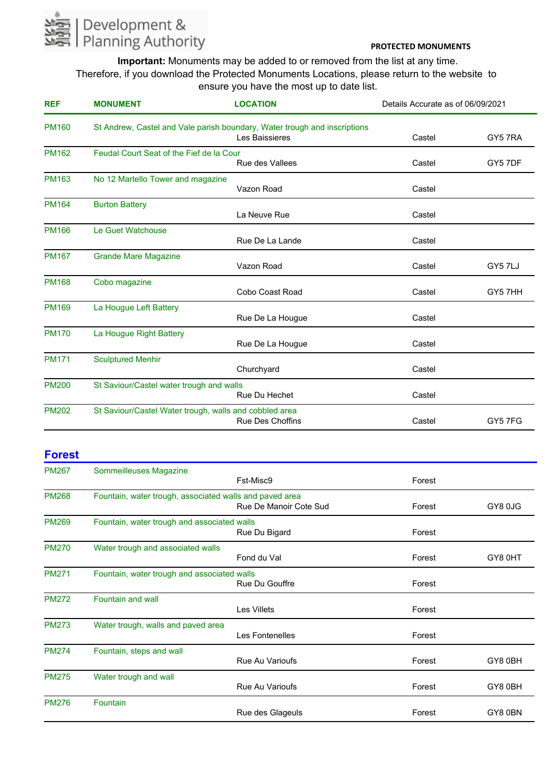

**Important:** Monuments may be added to or removed from the list at any time. Therefore, if you download the Protected Monuments Locations, please return to the website to ensure you have the most up to date list.

| <b>REF</b>   | <b>MONUMENT</b>                                        | <b>LOCATION</b>                                                                             | Details Accurate as of 06/09/2021 |         |
|--------------|--------------------------------------------------------|---------------------------------------------------------------------------------------------|-----------------------------------|---------|
| <b>PM160</b> |                                                        | St Andrew, Castel and Vale parish boundary, Water trough and inscriptions<br>Les Baissieres | Castel                            | GY5 7RA |
| <b>PM162</b> | Feudal Court Seat of the Fief de la Cour               | <b>Rue des Vallees</b>                                                                      | Castel                            | GY5 7DF |
| <b>PM163</b> | No 12 Martello Tower and magazine                      | Vazon Road                                                                                  | Castel                            |         |
| <b>PM164</b> | <b>Burton Battery</b>                                  | La Neuve Rue                                                                                | Castel                            |         |
| <b>PM166</b> | Le Guet Watchouse                                      | Rue De La Lande                                                                             | Castel                            |         |
| <b>PM167</b> | <b>Grande Mare Magazine</b>                            | Vazon Road                                                                                  | Castel                            | GY5 7LJ |
| <b>PM168</b> | Cobo magazine                                          | Cobo Coast Road                                                                             | Castel                            | GY57HH  |
| <b>PM169</b> | La Hougue Left Battery                                 | Rue De La Hougue                                                                            | Castel                            |         |
| <b>PM170</b> | La Hougue Right Battery                                | Rue De La Hougue                                                                            | Castel                            |         |
| <b>PM171</b> | <b>Sculptured Menhir</b>                               | Churchyard                                                                                  | Castel                            |         |
| <b>PM200</b> | St Saviour/Castel water trough and walls               | Rue Du Hechet                                                                               | Castel                            |         |
| <b>PM202</b> | St Saviour/Castel Water trough, walls and cobbled area | <b>Rue Des Choffins</b>                                                                     | Castel                            | GY57FG  |

# **Forest**

| <b>PM267</b> | Sommeilleuses Magazine                                  |                        |        |         |
|--------------|---------------------------------------------------------|------------------------|--------|---------|
|              |                                                         | Fst-Misc9              | Forest |         |
| <b>PM268</b> | Fountain, water trough, associated walls and paved area | Rue De Manoir Cote Sud | Forest | GY8 0JG |
| <b>PM269</b> | Fountain, water trough and associated walls             | Rue Du Bigard          | Forest |         |
| <b>PM270</b> | Water trough and associated walls                       | Fond du Val            | Forest | GY80HT  |
| <b>PM271</b> | Fountain, water trough and associated walls             | Rue Du Gouffre         | Forest |         |
| <b>PM272</b> | <b>Fountain and wall</b>                                | <b>Les Villets</b>     | Forest |         |
| <b>PM273</b> | Water trough, walls and paved area                      | Les Fontenelles        | Forest |         |
| <b>PM274</b> | Fountain, steps and wall                                | <b>Rue Au Varioufs</b> | Forest | GY80BH  |
| <b>PM275</b> | Water trough and wall                                   | <b>Rue Au Varioufs</b> | Forest | GY80BH  |
| <b>PM276</b> | Fountain                                                | Rue des Glageuls       | Forest | GY80BN  |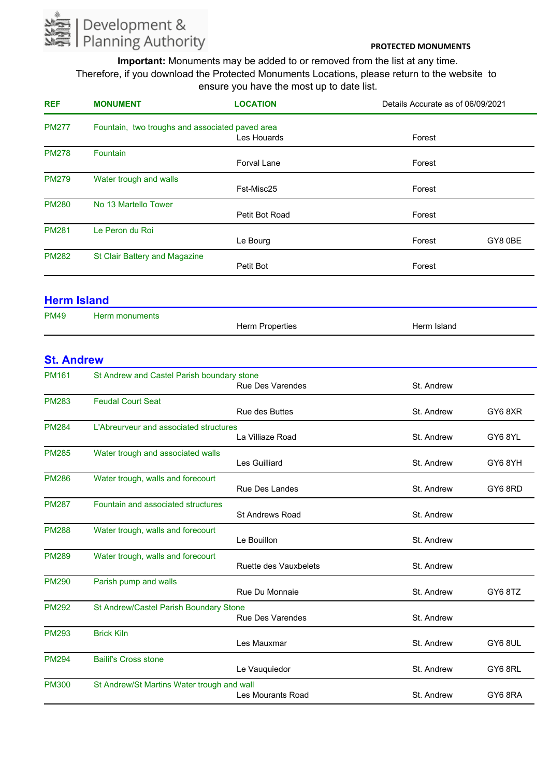

**Important:** Monuments may be added to or removed from the list at any time. Therefore, if you download the Protected Monuments Locations, please return to the website to ensure you have the most up to date list.

| <b>REF</b>   | <b>MONUMENT</b>                                 | <b>LOCATION</b>    | Details Accurate as of 06/09/2021 |
|--------------|-------------------------------------------------|--------------------|-----------------------------------|
| <b>PM277</b> | Fountain, two troughs and associated paved area |                    |                                   |
|              |                                                 | Les Houards        | Forest                            |
| <b>PM278</b> | <b>Fountain</b>                                 |                    |                                   |
|              |                                                 | <b>Forval Lane</b> | Forest                            |
| <b>PM279</b> | Water trough and walls                          |                    |                                   |
|              |                                                 | Fst-Misc25         | Forest                            |
| <b>PM280</b> | No 13 Martello Tower                            |                    |                                   |
|              |                                                 | Petit Bot Road     | Forest                            |
| <b>PM281</b> | Le Peron du Roi                                 |                    |                                   |
|              |                                                 | Le Bourg           | GY8 0BE<br>Forest                 |
| <b>PM282</b> | St Clair Battery and Magazine                   |                    |                                   |
|              |                                                 | Petit Bot          | Forest                            |
|              |                                                 |                    |                                   |
|              |                                                 |                    |                                   |

# **Herm Island**

| <b>PM49</b> | Herm monuments |                        |             |
|-------------|----------------|------------------------|-------------|
|             |                | <b>Herm Properties</b> | Herm Island |

# **St. Andrew**

| <b>PM161</b> | St Andrew and Castel Parish boundary stone | <b>Rue Des Varendes</b>      | St. Andrew |         |
|--------------|--------------------------------------------|------------------------------|------------|---------|
| <b>PM283</b> | <b>Feudal Court Seat</b>                   | Rue des Buttes               | St. Andrew | GY68XR  |
| <b>PM284</b> | L'Abreurveur and associated structures     | La Villiaze Road             | St. Andrew | GY68YL  |
| <b>PM285</b> | Water trough and associated walls          | Les Guilliard                | St. Andrew | GY6 8YH |
| <b>PM286</b> | Water trough, walls and forecourt          | <b>Rue Des Landes</b>        | St. Andrew | GY68RD  |
| <b>PM287</b> | Fountain and associated structures         | <b>St Andrews Road</b>       | St. Andrew |         |
| <b>PM288</b> | Water trough, walls and forecourt          | Le Bouillon                  | St. Andrew |         |
| <b>PM289</b> | Water trough, walls and forecourt          | <b>Ruette des Vauxbelets</b> | St. Andrew |         |
| <b>PM290</b> | Parish pump and walls                      | Rue Du Monnaie               | St. Andrew | GY68TZ  |
| <b>PM292</b> | St Andrew/Castel Parish Boundary Stone     | <b>Rue Des Varendes</b>      | St. Andrew |         |
| <b>PM293</b> | <b>Brick Kiln</b>                          | Les Mauxmar                  | St. Andrew | GY6 8UL |
| <b>PM294</b> | <b>Bailif's Cross stone</b>                | Le Vauquiedor                | St. Andrew | GY6 8RL |
| <b>PM300</b> | St Andrew/St Martins Water trough and wall | Les Mourants Road            | St. Andrew | GY68RA  |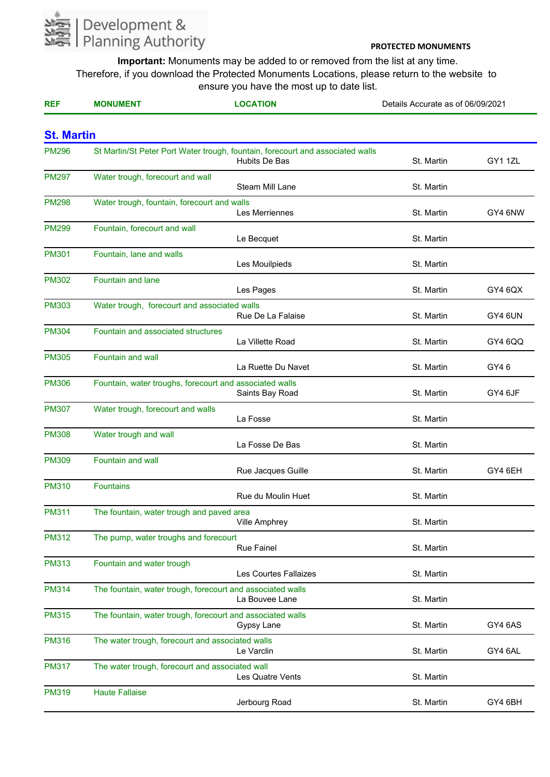

| <b>REF</b>        | <b>MONUMENT</b>                                         | <b>LOCATION</b>                                                                                 | Details Accurate as of 06/09/2021 |         |
|-------------------|---------------------------------------------------------|-------------------------------------------------------------------------------------------------|-----------------------------------|---------|
| <b>St. Martin</b> |                                                         |                                                                                                 |                                   |         |
| <b>PM296</b>      |                                                         | St Martin/St Peter Port Water trough, fountain, forecourt and associated walls<br>Hubits De Bas | St. Martin                        | GY11ZL  |
| <b>PM297</b>      | Water trough, forecourt and wall                        | <b>Steam Mill Lane</b>                                                                          | St. Martin                        |         |
| <b>PM298</b>      | Water trough, fountain, forecourt and walls             | Les Merriennes                                                                                  | St. Martin                        | GY4 6NW |
| <b>PM299</b>      | Fountain, forecourt and wall                            | Le Becquet                                                                                      | St. Martin                        |         |
| <b>PM301</b>      | Fountain, lane and walls                                | Les Mouilpieds                                                                                  | St. Martin                        |         |
| <b>PM302</b>      | <b>Fountain and lane</b>                                | Les Pages                                                                                       | St. Martin                        | GY4 6QX |
| <b>PM303</b>      | Water trough, forecourt and associated walls            | Rue De La Falaise                                                                               | St. Martin                        | GY4 6UN |
| <b>PM304</b>      | Fountain and associated structures                      | La Villette Road                                                                                | St. Martin                        | GY4 6QQ |
| <b>PM305</b>      | Fountain and wall                                       | La Ruette Du Navet                                                                              | St. Martin                        | GY46    |
| <b>PM306</b>      | Fountain, water troughs, forecourt and associated walls | Saints Bay Road                                                                                 | St. Martin                        | GY4 6JF |
| <b>PM307</b>      | Water trough, forecourt and walls                       | La Fosse                                                                                        | St. Martin                        |         |
| <b>PM308</b>      | Water trough and wall                                   | La Fosse De Bas                                                                                 | St. Martin                        |         |
| <b>PM309</b>      | Fountain and wall                                       | Rue Jacques Guille                                                                              | St. Martin                        | GY4 6EH |
| <b>PM310</b>      | <b>Fountains</b>                                        | Rue du Moulin Huet                                                                              | St. Martin                        |         |
| <b>PM311</b>      | The fountain, water trough and paved area               | <b>Ville Amphrey</b>                                                                            | St. Martin                        |         |
| <b>PM312</b>      | The pump, water troughs and forecourt                   | <b>Rue Fainel</b>                                                                               | St. Martin                        |         |
| <b>PM313</b>      | Fountain and water trough                               | Les Courtes Fallaizes                                                                           | St. Martin                        |         |
| <b>PM314</b>      |                                                         | The fountain, water trough, forecourt and associated walls<br>La Bouvee Lane                    | St. Martin                        |         |
| <b>PM315</b>      |                                                         | The fountain, water trough, forecourt and associated walls<br>Gypsy Lane                        | St. Martin                        | GY4 6AS |
| <b>PM316</b>      | The water trough, forecourt and associated walls        | Le Varclin                                                                                      | St. Martin                        | GY4 6AL |
| <b>PM317</b>      | The water trough, forecourt and associated wall         | Les Quatre Vents                                                                                | St. Martin                        |         |
| <b>PM319</b>      | <b>Haute Fallaise</b>                                   | Jerbourg Road                                                                                   | St. Martin                        | GY4 6BH |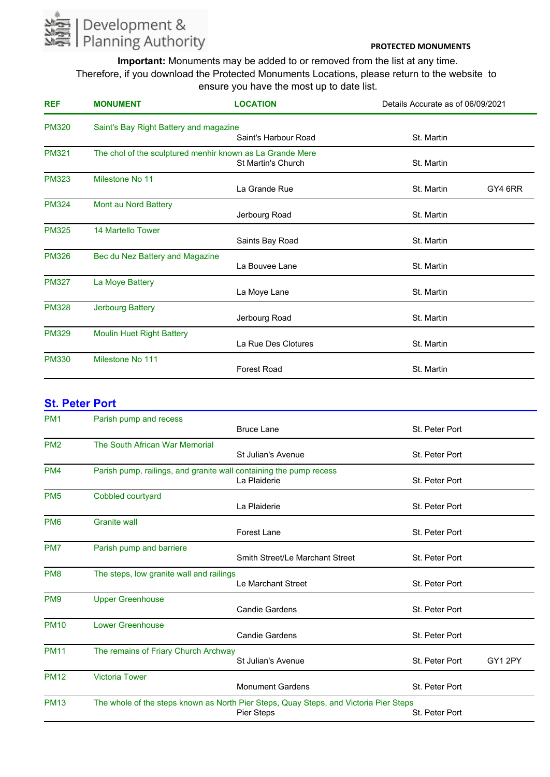

**Important:** Monuments may be added to or removed from the list at any time. Therefore, if you download the Protected Monuments Locations, please return to the website to ensure you have the most up to date list.

| <b>REF</b>   | <b>MONUMENT</b>                                           | <b>LOCATION</b>           | Details Accurate as of 06/09/2021 |  |
|--------------|-----------------------------------------------------------|---------------------------|-----------------------------------|--|
| <b>PM320</b> | Saint's Bay Right Battery and magazine                    | Saint's Harbour Road      | St. Martin                        |  |
| <b>PM321</b> | The chol of the sculptured menhir known as La Grande Mere | <b>St Martin's Church</b> | St. Martin                        |  |
| <b>PM323</b> | Milestone No 11                                           | La Grande Rue             | St. Martin<br>GY4 6RR             |  |
| <b>PM324</b> | Mont au Nord Battery                                      | Jerbourg Road             | St. Martin                        |  |
| <b>PM325</b> | 14 Martello Tower                                         | Saints Bay Road           | St. Martin                        |  |
| <b>PM326</b> | Bec du Nez Battery and Magazine                           | La Bouvee Lane            | St. Martin                        |  |
| <b>PM327</b> | La Moye Battery                                           | La Moye Lane              | St. Martin                        |  |
| <b>PM328</b> | <b>Jerbourg Battery</b>                                   | Jerbourg Road             | St. Martin                        |  |
| <b>PM329</b> | <b>Moulin Huet Right Battery</b>                          | La Rue Des Clotures       | St. Martin                        |  |
| <b>PM330</b> | Milestone No 111                                          | <b>Forest Road</b>        | St. Martin                        |  |

#### **St. Peter Port**

| PM <sub>1</sub> | Parish pump and recess                                             |                                                                                       |                |        |
|-----------------|--------------------------------------------------------------------|---------------------------------------------------------------------------------------|----------------|--------|
|                 |                                                                    | <b>Bruce Lane</b>                                                                     | St. Peter Port |        |
| PM <sub>2</sub> | The South African War Memorial                                     |                                                                                       |                |        |
|                 |                                                                    | St Julian's Avenue                                                                    | St. Peter Port |        |
| PM <sub>4</sub> | Parish pump, railings, and granite wall containing the pump recess |                                                                                       |                |        |
|                 |                                                                    | La Plaiderie                                                                          | St. Peter Port |        |
| PM <sub>5</sub> | Cobbled courtyard                                                  |                                                                                       |                |        |
|                 |                                                                    | La Plaiderie                                                                          | St. Peter Port |        |
| PM <sub>6</sub> | <b>Granite wall</b>                                                |                                                                                       |                |        |
|                 |                                                                    | <b>Forest Lane</b>                                                                    | St. Peter Port |        |
| PM7             | Parish pump and barriere                                           |                                                                                       |                |        |
|                 |                                                                    | Smith Street/Le Marchant Street                                                       | St. Peter Port |        |
| PM <sub>8</sub> | The steps, low granite wall and railings                           |                                                                                       |                |        |
|                 |                                                                    | Le Marchant Street                                                                    | St. Peter Port |        |
| PM <sub>9</sub> | <b>Upper Greenhouse</b>                                            |                                                                                       |                |        |
|                 |                                                                    | <b>Candie Gardens</b>                                                                 | St. Peter Port |        |
| <b>PM10</b>     | <b>Lower Greenhouse</b>                                            |                                                                                       |                |        |
|                 |                                                                    | <b>Candie Gardens</b>                                                                 | St. Peter Port |        |
| <b>PM11</b>     | The remains of Friary Church Archway                               |                                                                                       |                |        |
|                 |                                                                    | St Julian's Avenue                                                                    | St. Peter Port | GY12PY |
| <b>PM12</b>     | <b>Victoria Tower</b>                                              |                                                                                       |                |        |
|                 |                                                                    | <b>Monument Gardens</b>                                                               | St. Peter Port |        |
| <b>PM13</b>     |                                                                    | The whole of the steps known as North Pier Steps, Quay Steps, and Victoria Pier Steps |                |        |
|                 |                                                                    | Pier Steps                                                                            | St. Peter Port |        |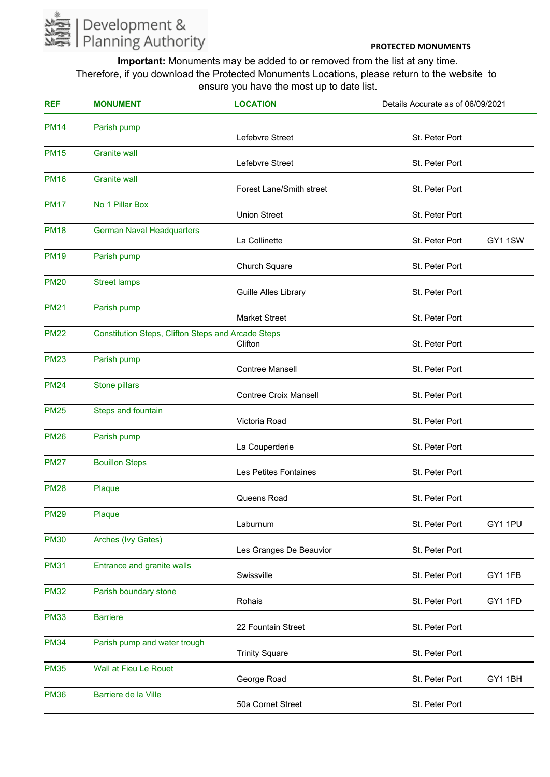

| <b>REF</b>  | <b>MONUMENT</b>                                           | <b>LOCATION</b>                 | Details Accurate as of 06/09/2021 |         |
|-------------|-----------------------------------------------------------|---------------------------------|-----------------------------------|---------|
| <b>PM14</b> | Parish pump                                               | Lefebvre Street                 | St. Peter Port                    |         |
| <b>PM15</b> | <b>Granite wall</b>                                       | Lefebvre Street                 | St. Peter Port                    |         |
| <b>PM16</b> | <b>Granite wall</b>                                       | <b>Forest Lane/Smith street</b> | St. Peter Port                    |         |
| <b>PM17</b> | No 1 Pillar Box                                           | <b>Union Street</b>             | St. Peter Port                    |         |
| <b>PM18</b> | <b>German Naval Headquarters</b>                          | La Collinette                   | St. Peter Port                    | GY11SW  |
| <b>PM19</b> | Parish pump                                               | Church Square                   | St. Peter Port                    |         |
| <b>PM20</b> | <b>Street lamps</b>                                       | Guille Alles Library            | St. Peter Port                    |         |
| <b>PM21</b> | Parish pump                                               | <b>Market Street</b>            | St. Peter Port                    |         |
| <b>PM22</b> | <b>Constitution Steps, Clifton Steps and Arcade Steps</b> | Clifton                         | St. Peter Port                    |         |
| <b>PM23</b> | Parish pump                                               | <b>Contree Mansell</b>          | St. Peter Port                    |         |
| <b>PM24</b> | Stone pillars                                             | <b>Contree Croix Mansell</b>    | St. Peter Port                    |         |
| <b>PM25</b> | Steps and fountain                                        | Victoria Road                   | St. Peter Port                    |         |
| <b>PM26</b> | Parish pump                                               | La Couperderie                  | St. Peter Port                    |         |
| <b>PM27</b> | <b>Bouillon Steps</b>                                     | Les Petites Fontaines           | St. Peter Port                    |         |
| <b>PM28</b> | Plaque                                                    | Queens Road                     | St. Peter Port                    |         |
| <b>PM29</b> | Plaque                                                    | Laburnum                        | St. Peter Port                    | GY1 1PU |
| <b>PM30</b> | Arches (Ivy Gates)                                        | Les Granges De Beauvior         | St. Peter Port                    |         |
| <b>PM31</b> | Entrance and granite walls                                | Swissville                      | St. Peter Port                    | GY11FB  |
| <b>PM32</b> | Parish boundary stone                                     | Rohais                          | St. Peter Port                    | GY1 1FD |
| <b>PM33</b> | <b>Barriere</b>                                           | 22 Fountain Street              | St. Peter Port                    |         |
| <b>PM34</b> | Parish pump and water trough                              | <b>Trinity Square</b>           | St. Peter Port                    |         |
| <b>PM35</b> | Wall at Fieu Le Rouet                                     | George Road                     | St. Peter Port                    | GY11BH  |
| <b>PM36</b> | Barriere de la Ville                                      | 50a Cornet Street               | St. Peter Port                    |         |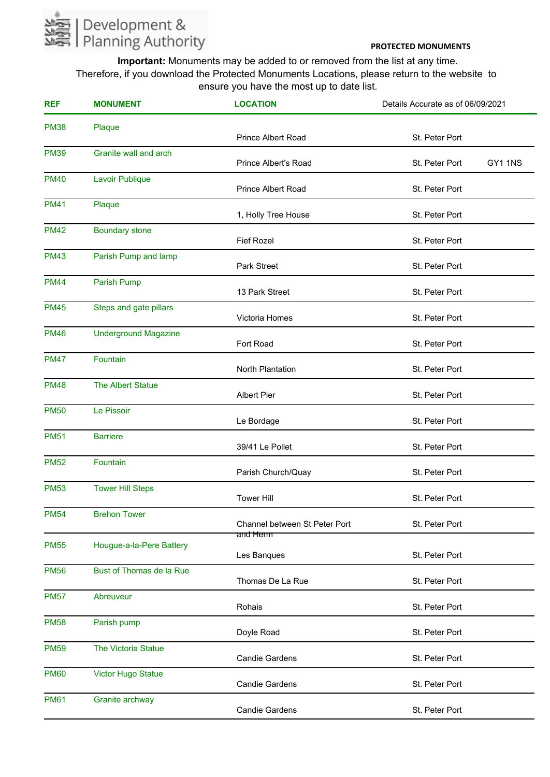

| <b>REF</b>  | <b>MONUMENT</b>             | <b>LOCATION</b>                    | Details Accurate as of 06/09/2021 |         |
|-------------|-----------------------------|------------------------------------|-----------------------------------|---------|
| <b>PM38</b> | Plaque                      | Prince Albert Road                 | St. Peter Port                    |         |
| <b>PM39</b> | Granite wall and arch       | <b>Prince Albert's Road</b>        | St. Peter Port                    | GY1 1NS |
| <b>PM40</b> | Lavoir Publique             | Prince Albert Road                 | St. Peter Port                    |         |
| <b>PM41</b> | Plaque                      | 1, Holly Tree House                | St. Peter Port                    |         |
| <b>PM42</b> | <b>Boundary stone</b>       | <b>Fief Rozel</b>                  | St. Peter Port                    |         |
| <b>PM43</b> | Parish Pump and lamp        | Park Street                        | St. Peter Port                    |         |
| <b>PM44</b> | <b>Parish Pump</b>          | 13 Park Street                     | St. Peter Port                    |         |
| <b>PM45</b> | Steps and gate pillars      | Victoria Homes                     | St. Peter Port                    |         |
| <b>PM46</b> | <b>Underground Magazine</b> | Fort Road                          | St. Peter Port                    |         |
| <b>PM47</b> | Fountain                    | North Plantation                   | St. Peter Port                    |         |
| <b>PM48</b> | The Albert Statue           | <b>Albert Pier</b>                 | St. Peter Port                    |         |
| <b>PM50</b> | Le Pissoir                  | Le Bordage                         | St. Peter Port                    |         |
| <b>PM51</b> | <b>Barriere</b>             | 39/41 Le Pollet                    | St. Peter Port                    |         |
| <b>PM52</b> | Fountain                    | Parish Church/Quay                 | St. Peter Port                    |         |
| <b>PM53</b> | <b>Tower Hill Steps</b>     | <b>Tower Hill</b>                  | St. Peter Port                    |         |
| <b>PM54</b> | <b>Brehon Tower</b>         | Channel between St Peter Port      | St. Peter Port                    |         |
| <b>PM55</b> | Hougue-a-la-Pere Battery    | <del>and Herm</del><br>Les Banques | St. Peter Port                    |         |
| <b>PM56</b> | Bust of Thomas de la Rue    | Thomas De La Rue                   | St. Peter Port                    |         |
| <b>PM57</b> | Abreuveur                   | Rohais                             | St. Peter Port                    |         |
| <b>PM58</b> | Parish pump                 | Doyle Road                         | St. Peter Port                    |         |
| <b>PM59</b> | The Victoria Statue         | <b>Candie Gardens</b>              | St. Peter Port                    |         |
| <b>PM60</b> | <b>Victor Hugo Statue</b>   | <b>Candie Gardens</b>              | St. Peter Port                    |         |
| <b>PM61</b> | Granite archway             | <b>Candie Gardens</b>              | St. Peter Port                    |         |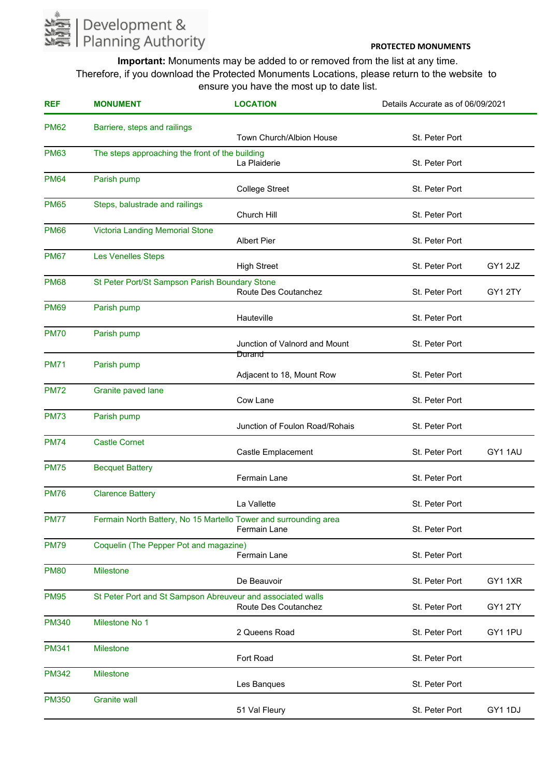

| <b>REF</b>   | <b>MONUMENT</b>                                                  | <b>LOCATION</b>                     | Details Accurate as of 06/09/2021 |         |
|--------------|------------------------------------------------------------------|-------------------------------------|-----------------------------------|---------|
| <b>PM62</b>  | Barriere, steps and railings                                     | <b>Town Church/Albion House</b>     | St. Peter Port                    |         |
| <b>PM63</b>  | The steps approaching the front of the building                  | La Plaiderie                        | St. Peter Port                    |         |
| <b>PM64</b>  | Parish pump                                                      | <b>College Street</b>               | St. Peter Port                    |         |
| <b>PM65</b>  | Steps, balustrade and railings                                   | Church Hill                         | St. Peter Port                    |         |
| <b>PM66</b>  | <b>Victoria Landing Memorial Stone</b>                           | <b>Albert Pier</b>                  | St. Peter Port                    |         |
| <b>PM67</b>  | <b>Les Venelles Steps</b>                                        | <b>High Street</b>                  | St. Peter Port                    | GY1 2JZ |
| <b>PM68</b>  | St Peter Port/St Sampson Parish Boundary Stone                   | Route Des Coutanchez                | St. Peter Port                    | GY12TY  |
| <b>PM69</b>  | Parish pump                                                      | Hauteville                          | St. Peter Port                    |         |
| <b>PM70</b>  | Parish pump                                                      | Junction of Valnord and Mount       | St. Peter Port                    |         |
| <b>PM71</b>  | Parish pump                                                      | Durand<br>Adjacent to 18, Mount Row | St. Peter Port                    |         |
| <b>PM72</b>  | Granite paved lane                                               | Cow Lane                            | St. Peter Port                    |         |
| <b>PM73</b>  | Parish pump                                                      | Junction of Foulon Road/Rohais      | St. Peter Port                    |         |
| <b>PM74</b>  | <b>Castle Cornet</b>                                             | Castle Emplacement                  | St. Peter Port                    | GY11AU  |
| <b>PM75</b>  | <b>Becquet Battery</b>                                           | Fermain Lane                        | St. Peter Port                    |         |
| <b>PM76</b>  | <b>Clarence Battery</b>                                          | La Vallette                         | St. Peter Port                    |         |
| <b>PM77</b>  | Fermain North Battery, No 15 Martello Tower and surrounding area | Fermain Lane                        | St. Peter Port                    |         |
| <b>PM79</b>  | Coquelin (The Pepper Pot and magazine)                           | Fermain Lane                        | St. Peter Port                    |         |
| <b>PM80</b>  | <b>Milestone</b>                                                 | De Beauvoir                         | St. Peter Port                    | GY11XR  |
| <b>PM95</b>  | St Peter Port and St Sampson Abreuveur and associated walls      | <b>Route Des Coutanchez</b>         | St. Peter Port                    | GY1 2TY |
| <b>PM340</b> | Milestone No 1                                                   | 2 Queens Road                       | St. Peter Port                    | GY1 1PU |
| <b>PM341</b> | <b>Milestone</b>                                                 | Fort Road                           | St. Peter Port                    |         |
| <b>PM342</b> | <b>Milestone</b>                                                 | Les Banques                         | St. Peter Port                    |         |
| <b>PM350</b> | <b>Granite wall</b>                                              | 51 Val Fleury                       | St. Peter Port                    | GY1 1DJ |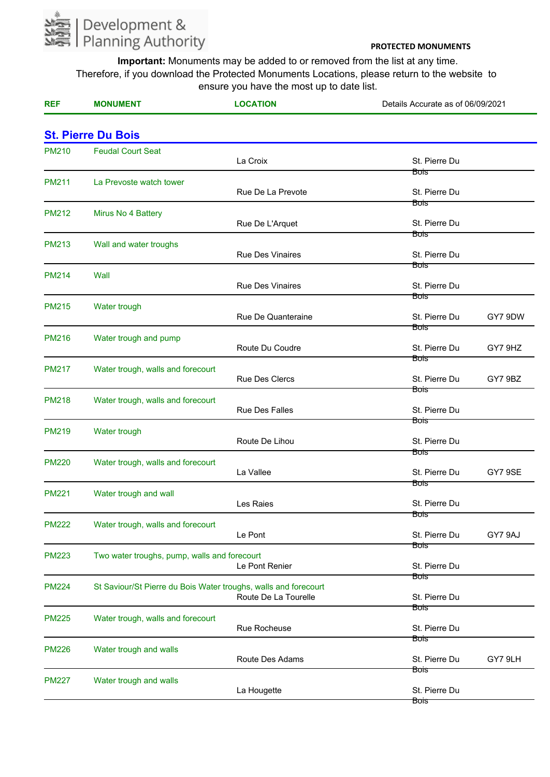

| <b>REF</b>                | <b>MONUMENT</b>                                                 | <b>LOCATION</b>         | Details Accurate as of 06/09/2021 |         |
|---------------------------|-----------------------------------------------------------------|-------------------------|-----------------------------------|---------|
| <b>St. Pierre Du Bois</b> |                                                                 |                         |                                   |         |
| <b>PM210</b>              | <b>Feudal Court Seat</b>                                        | La Croix                | St. Pierre Du                     |         |
| <b>PM211</b>              | La Prevoste watch tower                                         | Rue De La Prevote       | Bois<br>St. Pierre Du             |         |
| <b>PM212</b>              | Mirus No 4 Battery                                              | Rue De L'Arquet         | Bois<br>St. Pierre Du             |         |
| <b>PM213</b>              | Wall and water troughs                                          | <b>Rue Des Vinaires</b> | <b>Bois</b><br>St. Pierre Du      |         |
| <b>PM214</b>              | Wall                                                            | <b>Rue Des Vinaires</b> | Bois<br>St. Pierre Du             |         |
| <b>PM215</b>              | Water trough                                                    | Rue De Quanteraine      | Bois<br>St. Pierre Du             | GY7 9DW |
| <b>PM216</b>              | Water trough and pump                                           | Route Du Coudre         | Bois<br>St. Pierre Du             | GY7 9HZ |
| <b>PM217</b>              | Water trough, walls and forecourt                               | Rue Des Clercs          | Bois<br>St. Pierre Du             | GY7 9BZ |
| <b>PM218</b>              | Water trough, walls and forecourt                               | Rue Des Falles          | Bois<br>St. Pierre Du             |         |
| <b>PM219</b>              | Water trough                                                    | Route De Lihou          | Bois<br>St. Pierre Du             |         |
| <b>PM220</b>              | Water trough, walls and forecourt                               | La Vallee               | Bois<br>St. Pierre Du             | GY7 9SE |
| <b>PM221</b>              | Water trough and wall                                           | Les Raies               | Bois<br>St. Pierre Du             |         |
| <b>PM222</b>              | Water trough, walls and forecourt                               | Le Pont                 | воіз<br>St. Pierre Du             | GY7 9AJ |
| <b>PM223</b>              | Two water troughs, pump, walls and forecourt                    | Le Pont Renier          | Bois<br>St. Pierre Du             |         |
| <b>PM224</b>              | St Saviour/St Pierre du Bois Water troughs, walls and forecourt | Route De La Tourelle    | <b>Bois</b><br>St. Pierre Du      |         |
| <b>PM225</b>              | Water trough, walls and forecourt                               | Rue Rocheuse            | Bois<br>St. Pierre Du             |         |
| <b>PM226</b>              | Water trough and walls                                          | Route Des Adams         | Bois<br>St. Pierre Du             | GY7 9LH |
| <b>PM227</b>              | Water trough and walls                                          | La Hougette             | Bois<br>St. Pierre Du             |         |
|                           |                                                                 |                         | Bois                              |         |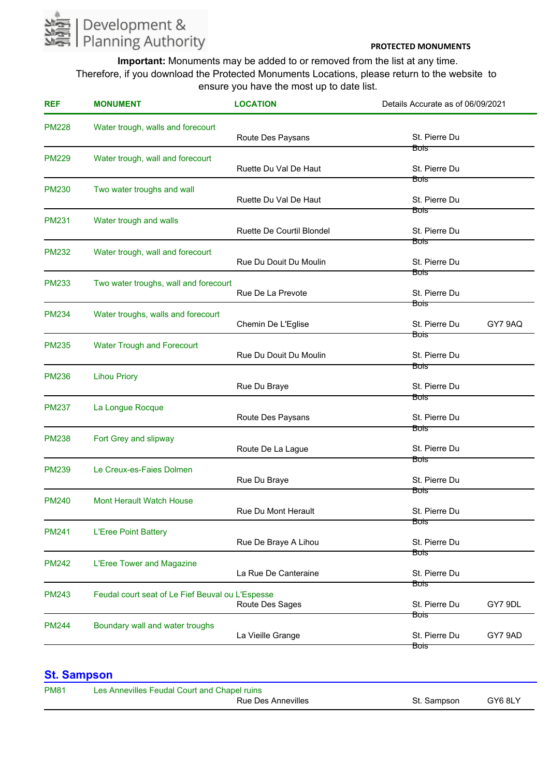

**Important:** Monuments may be added to or removed from the list at any time. Therefore, if you download the Protected Monuments Locations, please return to the website to ensure you have the most up to date list.

| <b>REF</b>   | <b>MONUMENT</b>                                  | <b>LOCATION</b>                  | Details Accurate as of 06/09/2021  |
|--------------|--------------------------------------------------|----------------------------------|------------------------------------|
| <b>PM228</b> | Water trough, walls and forecourt                | Route Des Paysans                | St. Pierre Du                      |
| <b>PM229</b> | Water trough, wall and forecourt                 | Ruette Du Val De Haut            | Bois<br>St. Pierre Du              |
| <b>PM230</b> | Two water troughs and wall                       | Ruette Du Val De Haut            | <del>Bois -</del><br>St. Pierre Du |
| <b>PM231</b> | Water trough and walls                           | <b>Ruette De Courtil Blondel</b> | Bois<br>St. Pierre Du              |
| <b>PM232</b> | Water trough, wall and forecourt                 | Rue Du Douit Du Moulin           | Bois<br>St. Pierre Du              |
| <b>PM233</b> | Two water troughs, wall and forecourt            | Rue De La Prevote                | Bois<br>St. Pierre Du              |
| <b>PM234</b> | Water troughs, walls and forecourt               | Chemin De L'Eglise               | Bois<br>St. Pierre Du<br>GY7 9AQ   |
| <b>PM235</b> | <b>Water Trough and Forecourt</b>                | Rue Du Douit Du Moulin           | Bois<br>St. Pierre Du              |
| <b>PM236</b> | <b>Lihou Priory</b>                              | Rue Du Braye                     | Bois <sup>-</sup><br>St. Pierre Du |
| <b>PM237</b> | La Longue Rocque                                 | Route Des Paysans                | Bois<br>St. Pierre Du              |
| <b>PM238</b> | Fort Grey and slipway                            | Route De La Lague                | Bois<br>St. Pierre Du              |
| <b>PM239</b> | Le Creux-es-Faies Dolmen                         | Rue Du Braye                     | Bois<br>St. Pierre Du              |
| <b>PM240</b> | <b>Mont Herault Watch House</b>                  | Rue Du Mont Herault              | Bois<br>St. Pierre Du              |
| <b>PM241</b> | <b>L'Eree Point Battery</b>                      | Rue De Braye A Lihou             | Bois<br>St. Pierre Du              |
| <b>PM242</b> | L'Eree Tower and Magazine                        | La Rue De Canteraine             | Bois<br>St. Pierre Du              |
| <b>PM243</b> | Feudal court seat of Le Fief Beuval ou L'Espesse | Route Des Sages                  | Bois<br>St. Pierre Du<br>GY7 9DL   |
| <b>PM244</b> | Boundary wall and water troughs                  | La Vieille Grange                | Bois<br>St. Pierre Du<br>GY7 9AD   |

# **St. Sampson**

| <b>PM81</b> | Les Annevilles Feudal Court and Chapel ruins |             |         |
|-------------|----------------------------------------------|-------------|---------|
|             | Rue Des Annevilles                           | St. Sampson | GY6 8LY |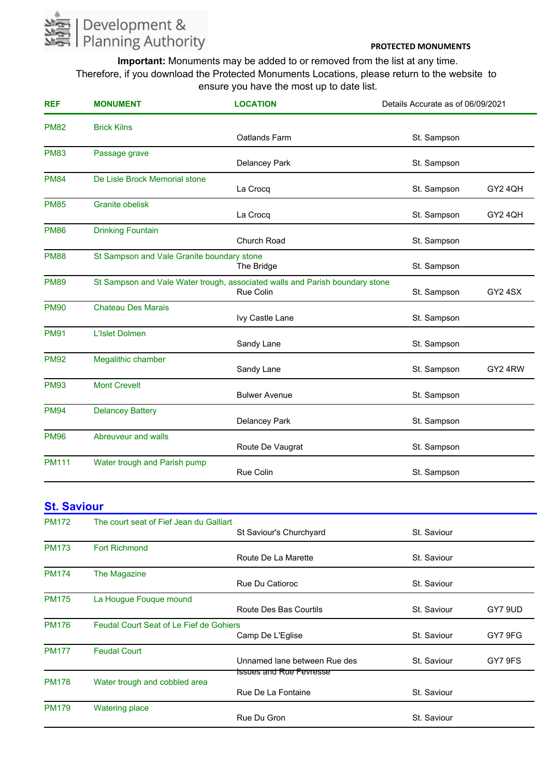

**Important:** Monuments may be added to or removed from the list at any time. Therefore, if you download the Protected Monuments Locations, please return to the website to ensure you have the most up to date list.

| <b>REF</b>   | <b>MONUMENT</b>                            | <b>LOCATION</b>                                                              | Details Accurate as of 06/09/2021 |                |
|--------------|--------------------------------------------|------------------------------------------------------------------------------|-----------------------------------|----------------|
| <b>PM82</b>  | <b>Brick Kilns</b>                         |                                                                              |                                   |                |
|              |                                            | Oatlands Farm                                                                | St. Sampson                       |                |
| <b>PM83</b>  | Passage grave                              |                                                                              |                                   |                |
|              |                                            | <b>Delancey Park</b>                                                         | St. Sampson                       |                |
| <b>PM84</b>  | De Lisle Brock Memorial stone              |                                                                              |                                   |                |
|              |                                            | La Crocq                                                                     | St. Sampson                       | GY2 4QH        |
| <b>PM85</b>  | <b>Granite obelisk</b>                     |                                                                              |                                   |                |
|              |                                            | La Crocq                                                                     | St. Sampson                       | GY2 4QH        |
| <b>PM86</b>  | <b>Drinking Fountain</b>                   |                                                                              |                                   |                |
|              |                                            | <b>Church Road</b>                                                           | St. Sampson                       |                |
| <b>PM88</b>  | St Sampson and Vale Granite boundary stone |                                                                              |                                   |                |
|              |                                            | The Bridge                                                                   | St. Sampson                       |                |
| <b>PM89</b>  |                                            | St Sampson and Vale Water trough, associated walls and Parish boundary stone |                                   |                |
|              |                                            | <b>Rue Colin</b>                                                             | St. Sampson                       | <b>GY2 4SX</b> |
| <b>PM90</b>  | <b>Chateau Des Marais</b>                  |                                                                              |                                   |                |
|              |                                            | Ivy Castle Lane                                                              | St. Sampson                       |                |
| <b>PM91</b>  | <b>L'Islet Dolmen</b>                      |                                                                              |                                   |                |
|              |                                            | Sandy Lane                                                                   | St. Sampson                       |                |
| <b>PM92</b>  | Megalithic chamber                         |                                                                              |                                   |                |
|              |                                            | Sandy Lane                                                                   | St. Sampson                       | GY24RW         |
| <b>PM93</b>  | <b>Mont Crevelt</b>                        |                                                                              |                                   |                |
|              |                                            | <b>Bulwer Avenue</b>                                                         | St. Sampson                       |                |
| <b>PM94</b>  | <b>Delancey Battery</b>                    |                                                                              |                                   |                |
|              |                                            | Delancey Park                                                                | St. Sampson                       |                |
| <b>PM96</b>  | Abreuveur and walls                        |                                                                              |                                   |                |
|              |                                            | Route De Vaugrat                                                             | St. Sampson                       |                |
| <b>PM111</b> | Water trough and Parish pump               |                                                                              |                                   |                |
|              |                                            | <b>Rue Colin</b>                                                             | St. Sampson                       |                |

# **St. Saviour**

| <b>PM172</b> | The court seat of Fief Jean du Galliart        |                              |             |         |
|--------------|------------------------------------------------|------------------------------|-------------|---------|
|              |                                                | St Saviour's Churchyard      | St. Saviour |         |
| <b>PM173</b> | <b>Fort Richmond</b>                           |                              |             |         |
|              |                                                | Route De La Marette          | St. Saviour |         |
| <b>PM174</b> | The Magazine                                   |                              |             |         |
|              |                                                | <b>Rue Du Catioroc</b>       | St. Saviour |         |
| <b>PM175</b> | La Hougue Fouque mound                         |                              |             |         |
|              |                                                | Route Des Bas Courtils       | St. Saviour | GY7 9UD |
| <b>PM176</b> | <b>Feudal Court Seat of Le Fief de Gohiers</b> |                              |             |         |
|              |                                                | Camp De L'Eglise             | St. Saviour | GY7 9FG |
| <b>PM177</b> | <b>Feudal Court</b>                            |                              |             |         |
|              |                                                | Unnamed lane between Rue des | St. Saviour | GY7 9FS |
|              |                                                | fssues and Rue Fevresse      |             |         |
| <b>PM178</b> | Water trough and cobbled area                  | Rue De La Fontaine           | St. Saviour |         |
|              |                                                |                              |             |         |
| <b>PM179</b> | <b>Watering place</b>                          |                              |             |         |
|              |                                                | Rue Du Gron                  | St. Saviour |         |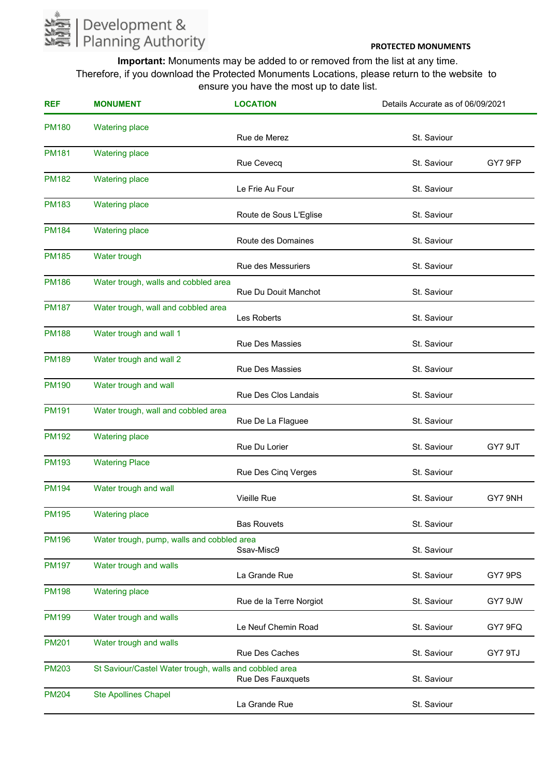

| <b>REF</b>   | <b>MONUMENT</b>                                        | <b>LOCATION</b>           | Details Accurate as of 06/09/2021 |         |
|--------------|--------------------------------------------------------|---------------------------|-----------------------------------|---------|
| <b>PM180</b> | <b>Watering place</b>                                  | Rue de Merez              | St. Saviour                       |         |
| <b>PM181</b> | <b>Watering place</b>                                  | Rue Cevecq                | St. Saviour                       | GY7 9FP |
| <b>PM182</b> | <b>Watering place</b>                                  | Le Frie Au Four           | St. Saviour                       |         |
| <b>PM183</b> | <b>Watering place</b>                                  | Route de Sous L'Eglise    | St. Saviour                       |         |
| <b>PM184</b> | <b>Watering place</b>                                  | Route des Domaines        | St. Saviour                       |         |
| <b>PM185</b> | Water trough                                           | <b>Rue des Messuriers</b> | St. Saviour                       |         |
| <b>PM186</b> | Water trough, walls and cobbled area                   | Rue Du Douit Manchot      | St. Saviour                       |         |
| <b>PM187</b> | Water trough, wall and cobbled area                    | Les Roberts               | St. Saviour                       |         |
| <b>PM188</b> | Water trough and wall 1                                | <b>Rue Des Massies</b>    | St. Saviour                       |         |
| <b>PM189</b> | Water trough and wall 2                                | Rue Des Massies           | St. Saviour                       |         |
| <b>PM190</b> | Water trough and wall                                  | Rue Des Clos Landais      | St. Saviour                       |         |
| <b>PM191</b> | Water trough, wall and cobbled area                    | Rue De La Flaguee         | St. Saviour                       |         |
| <b>PM192</b> | <b>Watering place</b>                                  | Rue Du Lorier             | St. Saviour                       | GY7 9JT |
| <b>PM193</b> | <b>Watering Place</b>                                  | Rue Des Cinq Verges       | St. Saviour                       |         |
| <b>PM194</b> | Water trough and wall                                  | Vieille Rue               | St. Saviour                       | GY7 9NH |
| <b>PM195</b> | <b>Watering place</b>                                  | <b>Bas Rouvets</b>        | St. Saviour                       |         |
| <b>PM196</b> | Water trough, pump, walls and cobbled area             | Ssav-Misc9                | St. Saviour                       |         |
| <b>PM197</b> | Water trough and walls                                 | La Grande Rue             | St. Saviour                       | GY7 9PS |
| <b>PM198</b> | <b>Watering place</b>                                  | Rue de la Terre Norgiot   | St. Saviour                       | GY7 9JW |
| <b>PM199</b> | Water trough and walls                                 | Le Neuf Chemin Road       | St. Saviour                       | GY7 9FQ |
| <b>PM201</b> | Water trough and walls                                 | Rue Des Caches            | St. Saviour                       | GY7 9TJ |
| <b>PM203</b> | St Saviour/Castel Water trough, walls and cobbled area | Rue Des Fauxquets         | St. Saviour                       |         |
| <b>PM204</b> | <b>Ste Apollines Chapel</b>                            | La Grande Rue             | St. Saviour                       |         |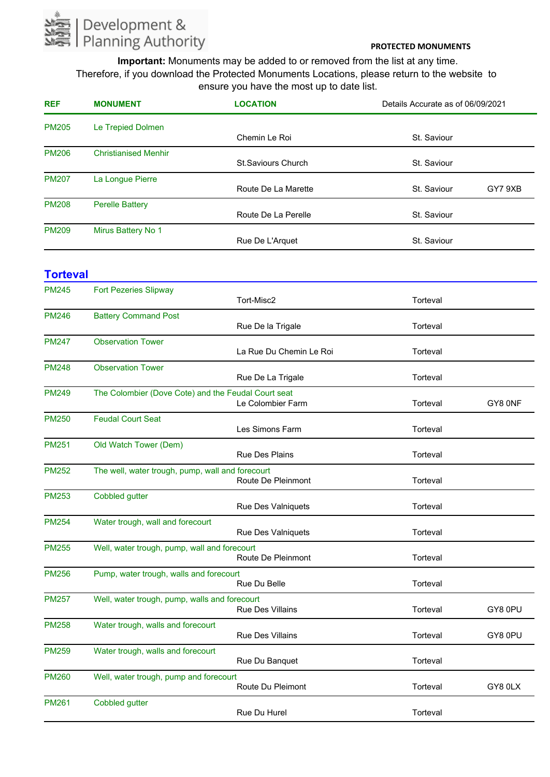

**Important:** Monuments may be added to or removed from the list at any time. Therefore, if you download the Protected Monuments Locations, please return to the website to ensure you have the most up to date list.

| <b>REF</b>   | <b>MONUMENT</b>             | <b>LOCATION</b>           | Details Accurate as of 06/09/2021 |
|--------------|-----------------------------|---------------------------|-----------------------------------|
| <b>PM205</b> | Le Trepied Dolmen           |                           |                                   |
|              |                             | Chemin Le Roi             | St. Saviour                       |
| <b>PM206</b> | <b>Christianised Menhir</b> |                           |                                   |
|              |                             | <b>St.Saviours Church</b> | St. Saviour                       |
| <b>PM207</b> | La Longue Pierre            |                           |                                   |
|              |                             | Route De La Marette       | GY7 9XB<br>St. Saviour            |
| <b>PM208</b> | <b>Perelle Battery</b>      |                           |                                   |
|              |                             | Route De La Perelle       | St. Saviour                       |
| <b>PM209</b> | Mirus Battery No 1          |                           |                                   |
|              |                             | Rue De L'Arquet           | St. Saviour                       |

#### **Torteval** Tort-Misc2 PM245 **Torteval** Fort Pezeries Slipway Rue De la Trigale PM246 **Torteval** Battery Command Post La Rue Du Chemin Le Roi PM247 **Torteval** Observation Tower Rue De La Trigale PM248 **Torteval** Observation Tower Le Colombier Farm PM249 Torteval GY8 0NF The Colombier (Dove Cote) and the Feudal Court seat Les Simons Farm PM250 **Torteval** Feudal Court Seat Rue Des Plains PM251 **Torteval** Old Watch Tower (Dem) Route De Pleinmont PM252 **Torteval** The well, water trough, pump, wall and forecourt Rue Des Valniquets PM253 **Torteval** Cobbled gutter Rue Des Valniquets PM254 **Torteval** Water trough, wall and forecourt Route De Pleinmont PM255 Torteval Well, water trough, pump, wall and forecourt Rue Du Belle PM256 **Torteval** Pump, water trough, walls and forecourt Rue Des Villains PM257 Torteval GY8 0PU Well, water trough, pump, walls and forecourt Rue Des Villains PM258 Torteval GY8 0PU Water trough, walls and forecourt Rue Du Banquet PM259 **Torteval** Water trough, walls and forecourt Route Du Pleimont PM260 Torteval GY8 0LX Well, water trough, pump and forecourt Rue Du Hurel PM261 **Torteval** Cobbled gutter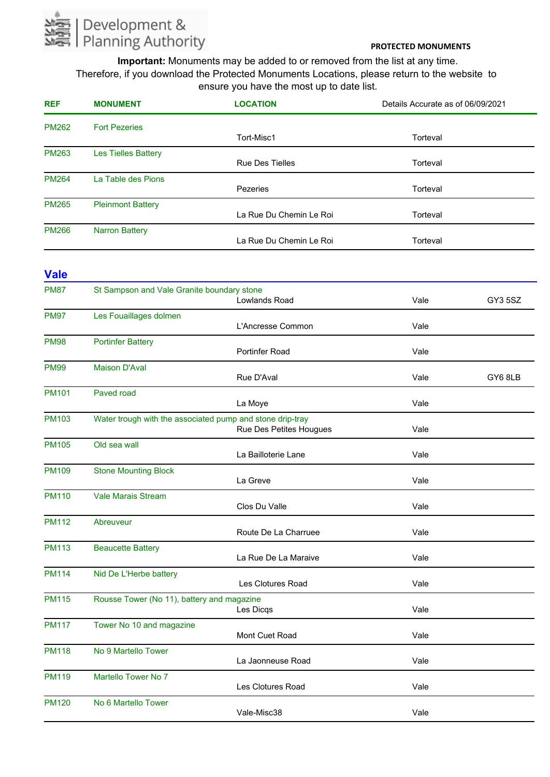

**Important:** Monuments may be added to or removed from the list at any time. Therefore, if you download the Protected Monuments Locations, please return to the website to ensure you have the most up to date list.

| <b>REF</b>   | <b>MONUMENT</b>            | <b>LOCATION</b>         | Details Accurate as of 06/09/2021 |
|--------------|----------------------------|-------------------------|-----------------------------------|
| <b>PM262</b> | <b>Fort Pezeries</b>       |                         |                                   |
|              |                            | Tort-Misc1              | Torteval                          |
| <b>PM263</b> | <b>Les Tielles Battery</b> |                         |                                   |
|              |                            | <b>Rue Des Tielles</b>  | Torteval                          |
| <b>PM264</b> | La Table des Pions         |                         |                                   |
|              |                            | Pezeries                | Torteval                          |
| <b>PM265</b> | <b>Pleinmont Battery</b>   |                         |                                   |
|              |                            | La Rue Du Chemin Le Roi | Torteval                          |
| <b>PM266</b> | <b>Narron Battery</b>      |                         |                                   |
|              |                            | La Rue Du Chemin Le Roi | Torteval                          |

#### **Vale** Lowlands Road PM87 Vale GY3 5SZ St Sampson and Vale Granite boundary stone L'Ancresse Common PM97 Vale Les Fouaillages dolmen Portinfer Road PM98 Vale Portinfer Battery Rue D'Aval PM99 Vale GY6 8LB Maison D'Aval La Moye PM101 Vale Paved road Rue Des Petites Hougues PM103 Vale Water trough with the associated pump and stone drip-tray La Bailloterie Lane PM105 Vale Old sea wall La Greve PM109 Vale Stone Mounting Block Clos Du Valle PM110 Vale Vale Marais Stream Route De La Charruee PM112 Vale Abreuveur La Rue De La Maraive PM113 Vale Beaucette Battery Les Clotures Road PM114 Vale Nid De L'Herbe battery Les Dicqs PM115 Vale Rousse Tower (No 11), battery and magazine Mont Cuet Road PM117 Vale Tower No 10 and magazine La Jaonneuse Road PM118 Vale No 9 Martello Tower Les Clotures Road PM119 Vale Martello Tower No 7 Vale-Misc38 PM120 Vale No 6 Martello Tower